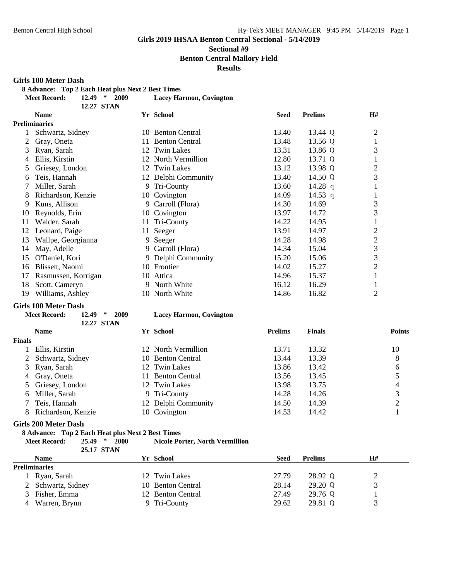#### **Sectional #9 Benton Central Mallory Field**

## **Results**

#### **Girls 100 Meter Dash**

**8 Advance: Top 2 Each Heat plus Next 2 Best Times**

**Meet Record: 12.49 \* 2009 Lacey Harmon, Covington**

|    | 12.27 STAN           |                              |             |                |                |
|----|----------------------|------------------------------|-------------|----------------|----------------|
|    | <b>Name</b>          | Yr School                    | <b>Seed</b> | <b>Prelims</b> | H#             |
|    | <b>Preliminaries</b> |                              |             |                |                |
|    | Schwartz, Sidney     | <b>Benton Central</b><br>10  | 13.40       | 13.44 Q        | $\overline{2}$ |
|    | Gray, Oneta          | <b>Benton Central</b><br>11. | 13.48       | 13.56 Q        |                |
| 3  | Ryan, Sarah          | <b>Twin Lakes</b><br>12      | 13.31       | 13.86 Q        | 3              |
| 4  | Ellis, Kirstin       | North Vermillion<br>12.      | 12.80       | 13.71 Q        |                |
| 5  | Griesey, London      | 12 Twin Lakes                | 13.12       | 13.98 Q        | $\overline{2}$ |
| 6  | Teis, Hannah         | 12 Delphi Community          | 13.40       | 14.50 Q        | 3              |
|    | Miller, Sarah        | 9 Tri-County                 | 13.60       | 14.28 q        |                |
| 8  | Richardson, Kenzie   | 10 Covington                 | 14.09       | 14.53 q        | $\mathbf{I}$   |
| 9  | Kuns, Allison        | Carroll (Flora)<br>9.        | 14.30       | 14.69          | 3              |
| 10 | Reynolds, Erin       | Covington<br>10              | 13.97       | 14.72          | 3              |
| 11 | Walder, Sarah        | Tri-County<br>11             | 14.22       | 14.95          | $\mathbf{I}$   |
| 12 | Leonard, Paige       | 11 Seeger                    | 13.91       | 14.97          | $\overline{2}$ |
| 13 | Wallpe, Georgianna   | 9 Seeger                     | 14.28       | 14.98          | $\overline{c}$ |
| 14 | May, Adelle          | Carroll (Flora)<br>9.        | 14.34       | 15.04          | 3              |
| 15 | O'Daniel, Kori       | 9 Delphi Community           | 15.20       | 15.06          | 3              |
| 16 | Blissett, Naomi      | 10 Frontier                  | 14.02       | 15.27          | $\overline{2}$ |
| 17 | Rasmussen, Korrigan  | Attica<br>10                 | 14.96       | 15.37          |                |
| 18 | Scott, Cameryn       | 9 North White                | 16.12       | 16.29          | $\bf{I}$       |
| 19 | Williams, Ashley     | 10 North White               | 14.86       | 16.82          | $\overline{2}$ |

#### **Girls 100 Meter Dash Meet Record: 12.49 \* 2009 Lacey Harmon, Covington**

| <b>Lacey Harmon, Covington</b> |  |
|--------------------------------|--|
|--------------------------------|--|

|               | <b>Name</b>        | Yr School           | <b>Prelims</b> | <b>Finals</b> | <b>Points</b> |
|---------------|--------------------|---------------------|----------------|---------------|---------------|
| <b>Finals</b> |                    |                     |                |               |               |
|               | Ellis, Kirstin     | 12 North Vermillion | 13.71          | 13.32         | 10            |
|               | 2 Schwartz, Sidney | 10 Benton Central   | 13.44          | 13.39         | 8             |
|               | 3 Ryan, Sarah      | 12 Twin Lakes       | 13.86          | 13.42         | 6             |
|               | 4 Gray, Oneta      | 11 Benton Central   | 13.56          | 13.45         |               |
|               | 5 Griesey, London  | 12 Twin Lakes       | 13.98          | 13.75         | 4             |
|               | 6 Miller, Sarah    | 9 Tri-County        | 14.28          | 14.26         |               |
|               | Teis, Hannah       | 12 Delphi Community | 14.50          | 14.39         |               |
|               | Richardson, Kenzie | 10 Covington        | 14.53          | 14.42         |               |

#### **Girls 200 Meter Dash**

#### **8 Advance: Top 2 Each Heat plus Next 2 Best Times**

**12.27 STAN**

| Meet Record: | $25.49$ *<br>2000 | <b>Nicole Porter, North Vermillion</b> |
|--------------|-------------------|----------------------------------------|
|              | 25.17 STAN        |                                        |

| <i><b>43.11 STAR</b></i> |                   |       |                |    |  |
|--------------------------|-------------------|-------|----------------|----|--|
| <b>Name</b>              | Yr School         | Seed  | <b>Prelims</b> | H# |  |
| <b>Preliminaries</b>     |                   |       |                |    |  |
| Ryan, Sarah              | 12 Twin Lakes     | 27.79 | 28.92 Q        | ↩  |  |
| 2 Schwartz, Sidney       | 10 Benton Central | 28.14 | 29.20 Q        |    |  |
| 3 Fisher, Emma           | 12 Benton Central | 27.49 | 29.76 Q        |    |  |
| 4 Warren, Brynn          | 9 Tri-County      | 29.62 | 29.81 Q        |    |  |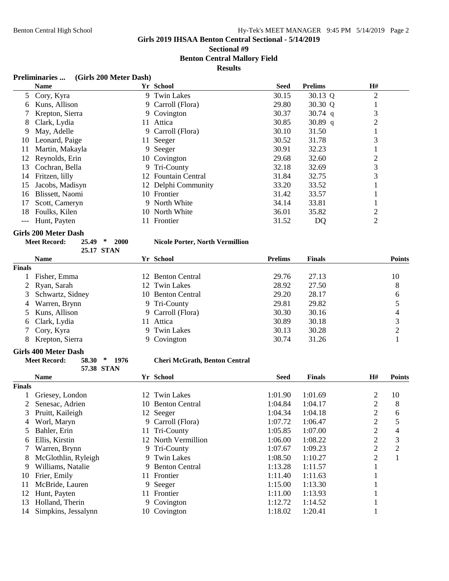**Sectional #9 Benton Central Mallory Field**

**Results**

#### **Preliminaries ... (Girls 200 Meter Dash)**

|     | <b>Name</b>     | Yr School           | <b>Seed</b> | <b>Prelims</b> | H#             |
|-----|-----------------|---------------------|-------------|----------------|----------------|
|     | 5 Cory, Kyra    | 9 Twin Lakes        | 30.15       | 30.13 Q        | $\overline{2}$ |
| 6   | Kuns, Allison   | 9 Carroll (Flora)   | 29.80       | 30.30 Q        |                |
|     | Krepton, Sierra | 9 Covington         | 30.37       | 30.74 $q$      | 3              |
| 8   | Clark, Lydia    | 11 Attica           | 30.85       | 30.89 q        | 2              |
| 9   | May, Adelle     | 9 Carroll (Flora)   | 30.10       | 31.50          |                |
| 10  | Leonard, Paige  | 11 Seeger           | 30.52       | 31.78          | 3              |
| 11  | Martin, Makayla | 9 Seeger            | 30.91       | 32.23          |                |
| 12  | Reynolds, Erin  | 10 Covington        | 29.68       | 32.60          | 2              |
| 13. | Cochran, Bella  | 9 Tri-County        | 32.18       | 32.69          | 3              |
| 14  | Fritzen, lilly  | 12 Fountain Central | 31.84       | 32.75          | 3              |
| 15  | Jacobs, Madisyn | 12 Delphi Community | 33.20       | 33.52          |                |
| 16  | Blissett, Naomi | 10 Frontier         | 31.42       | 33.57          |                |
| 17  | Scott, Cameryn  | 9 North White       | 34.14       | 33.81          |                |
| 18  | Foulks, Kilen   | 10 North White      | 36.01       | 35.82          | 2              |
|     | Hunt, Payten    | Frontier            | 31.52       | DQ             | 2              |

**Girls 200 Meter Dash**<br>Meet Record: 25.49 \* 2000

**25.17 STAN**

### **Meet Record: 25.49 \* 2000 Nicole Porter, North Vermillion**

|               | <b>Name</b>        | Yr School         | <b>Prelims</b> | <b>Finals</b> | <b>Points</b> |
|---------------|--------------------|-------------------|----------------|---------------|---------------|
| <b>Finals</b> |                    |                   |                |               |               |
|               | Fisher, Emma       | 12 Benton Central | 29.76          | 27.13         | 10            |
|               | 2 Ryan, Sarah      | 12 Twin Lakes     | 28.92          | 27.50         | 8             |
|               | 3 Schwartz, Sidney | 10 Benton Central | 29.20          | 28.17         | 6             |
|               | 4 Warren, Brynn    | 9 Tri-County      | 29.81          | 29.82         |               |
|               | 5 Kuns, Allison    | 9 Carroll (Flora) | 30.30          | 30.16         |               |
|               | 6 Clark, Lydia     | 11 Attica         | 30.89          | 30.18         |               |
|               | 7 Cory, Kyra       | 9 Twin Lakes      | 30.13          | 30.28         | ↑             |
|               | Krepton, Sierra    | 9 Covington       | 30.74          | 31.26         |               |

#### **Girls 400 Meter Dash**

| <b>Meet Record:</b> | $58.30*$<br>- 1976 | <b>Cheri McGrath, Benton Central</b> |
|---------------------|--------------------|--------------------------------------|
|                     | 57.38 STAN         |                                      |

|        | <b>Name</b>         |     | Yr School             | <b>Seed</b> | <b>Finals</b> | H#             | <b>Points</b> |
|--------|---------------------|-----|-----------------------|-------------|---------------|----------------|---------------|
| Finals |                     |     |                       |             |               |                |               |
|        | Griesey, London     |     | 12 Twin Lakes         | 1:01.90     | 1:01.69       | 2              | 10            |
|        | Senesac, Adrien     |     | 10 Benton Central     | 1:04.84     | 1:04.17       | 2              | 8             |
| 3      | Pruitt, Kaileigh    |     | 12 Seeger             | 1:04.34     | 1:04.18       | 2              | 6             |
| 4      | Worl, Maryn         |     | 9 Carroll (Flora)     | 1:07.72     | 1:06.47       | 2              | 5             |
| 5      | Bahler, Erin        | 11. | Tri-County            | 1:05.85     | 1:07.00       | $\overline{2}$ | 4             |
| 6      | Ellis, Kirstin      |     | 12 North Vermillion   | 1:06.00     | 1:08.22       | 2              | 3             |
|        | Warren, Brynn       |     | 9 Tri-County          | 1:07.67     | 1:09.23       | 2              | 2             |
| 8      | McGlothlin, Ryleigh |     | 9 Twin Lakes          | 1:08.50     | 1:10.27       | 2              |               |
| 9      | Williams, Natalie   | 9.  | <b>Benton Central</b> | 1:13.28     | 1:11.57       |                |               |
| 10     | Frier, Emily        | 11. | Frontier              | 1:11.40     | 1:11.63       |                |               |
| 11     | McBride, Lauren     |     | 9 Seeger              | 1:15.00     | 1:13.30       |                |               |
| 12     | Hunt, Payten        |     | 11 Frontier           | 1:11.00     | 1:13.93       |                |               |
| 13     | Holland, Therin     |     | 9 Covington           | 1:12.72     | 1:14.52       |                |               |
| 14     | Simpkins, Jessalynn |     | 10 Covington          | 1:18.02     | 1:20.41       |                |               |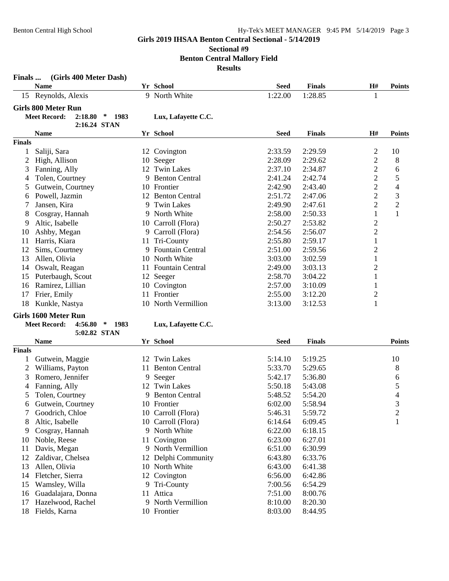## **Sectional #9**

**Benton Central Mallory Field**

**Results**

| Finals        | (Girls 400 Meter Dash)                                                    |    |                       |             |               |                  |                |
|---------------|---------------------------------------------------------------------------|----|-----------------------|-------------|---------------|------------------|----------------|
|               | <b>Name</b>                                                               |    | Yr School             | <b>Seed</b> | <b>Finals</b> | H#               | <b>Points</b>  |
|               | 15 Reynolds, Alexis                                                       |    | 9 North White         | 1:22.00     | 1:28.85       | 1                |                |
|               | <b>Girls 800 Meter Run</b><br><b>Meet Record:</b><br>2:18.80<br>∗<br>1983 |    | Lux, Lafayette C.C.   |             |               |                  |                |
|               | 2:16.24 STAN<br><b>Name</b>                                               |    | Yr School             | <b>Seed</b> | <b>Finals</b> | H#               | <b>Points</b>  |
| <b>Finals</b> |                                                                           |    |                       |             |               |                  |                |
| $\mathbf{1}$  | Saliji, Sara                                                              |    | 12 Covington          | 2:33.59     | 2:29.59       | $\overline{c}$   | 10             |
| 2             | High, Allison                                                             |    | 10 Seeger             | 2:28.09     | 2:29.62       | $\overline{2}$   | 8              |
| 3             | Fanning, Ally                                                             | 12 | <b>Twin Lakes</b>     | 2:37.10     | 2:34.87       | $\overline{2}$   | 6              |
| 4             | Tolen, Courtney                                                           | 9  | <b>Benton Central</b> | 2:41.24     | 2:42.74       | $\overline{2}$   | 5              |
| 5             | Gutwein, Courtney                                                         |    | 10 Frontier           | 2:42.90     | 2:43.40       | $\overline{2}$   | 4              |
| 6             | Powell, Jazmin                                                            |    | 12 Benton Central     | 2:51.72     | 2:47.06       | $\overline{2}$   | 3              |
| 7             | Jansen, Kira                                                              | 9  | <b>Twin Lakes</b>     | 2:49.90     | 2:47.61       | $\overline{2}$   | $\overline{c}$ |
| 8             | Cosgray, Hannah                                                           | 9  | North White           | 2:58.00     | 2:50.33       | $\mathbf{1}$     | $\mathbf{1}$   |
| 9             | Altic, Isabelle                                                           | 10 | Carroll (Flora)       | 2:50.27     | 2:53.82       | $\boldsymbol{2}$ |                |
| 10            | Ashby, Megan                                                              |    | 9 Carroll (Flora)     | 2:54.56     | 2:56.07       | $\overline{c}$   |                |
| 11            | Harris, Kiara                                                             | 11 | Tri-County            | 2:55.80     | 2:59.17       | $\mathbf{1}$     |                |
| 12            | Sims, Courtney                                                            |    | 9 Fountain Central    | 2:51.00     | 2:59.56       | $\overline{2}$   |                |
| 13            | Allen, Olivia                                                             |    | 10 North White        | 3:03.00     | 3:02.59       | $\mathbf{1}$     |                |
| 14            | Oswalt, Reagan                                                            |    | 11 Fountain Central   | 2:49.00     | 3:03.13       | $\overline{2}$   |                |
| 15            | Puterbaugh, Scout                                                         |    | 12 Seeger             | 2:58.70     | 3:04.22       | 1                |                |
| 16            | Ramirez, Lillian                                                          | 10 | Covington             | 2:57.00     | 3:10.09       | $\mathbf{1}$     |                |
| 17            | Frier, Emily                                                              |    | 11 Frontier           | 2:55.00     | 3:12.20       | $\overline{c}$   |                |
| 18            | Kunkle, Nastya                                                            |    | 10 North Vermillion   | 3:13.00     | 3:12.53       | 1                |                |
|               | <b>Girls 1600 Meter Run</b>                                               |    |                       |             |               |                  |                |
|               | <b>Meet Record:</b><br>4:56.80<br>$\ast$<br>1983                          |    | Lux, Lafayette C.C.   |             |               |                  |                |
|               | 5:02.82 STAN                                                              |    |                       |             |               |                  |                |
|               | <b>Name</b>                                                               |    | Yr School             | <b>Seed</b> | <b>Finals</b> |                  | <b>Points</b>  |
| <b>Finals</b> |                                                                           |    |                       |             |               |                  |                |
| 1             | Gutwein, Maggie                                                           | 12 | <b>Twin Lakes</b>     | 5:14.10     | 5:19.25       |                  | 10             |
| 2             | Williams, Payton                                                          | 11 | <b>Benton Central</b> | 5:33.70     | 5:29.65       |                  | 8              |
| 3             | Romero, Jennifer                                                          |    | 9 Seeger              | 5:42.17     | 5:36.80       |                  | 6              |
| 4             | Fanning, Ally                                                             | 12 | <b>Twin Lakes</b>     | 5:50.18     | 5:43.08       |                  | 5              |
| 5             | Tolen, Courtney                                                           | 9  | <b>Benton Central</b> | 5:48.52     | 5:54.20       |                  | 4              |
| 6             | Gutwein, Courtney                                                         |    | 10 Frontier           | 6:02.00     | 5:58.94       |                  | 3              |
|               | Goodrich, Chloe                                                           |    | 10 Carroll (Flora)    | 5:46.31     | 5:59.72       |                  | $\overline{c}$ |
| 8             | Altic, Isabelle                                                           |    | 10 Carroll (Flora)    | 6:14.64     | 6:09.45       |                  | 1              |
| 9             | Cosgray, Hannah                                                           |    | 9 North White         | 6:22.00     | 6:18.15       |                  |                |
| 10            | Noble, Reese                                                              |    | 11 Covington          | 6:23.00     | 6:27.01       |                  |                |
| 11            | Davis, Megan                                                              |    | 9 North Vermillion    | 6:51.00     | 6:30.99       |                  |                |
| 12            | Zaldivar, Chelsea                                                         |    | 12 Delphi Community   | 6:43.80     | 6:33.76       |                  |                |
| 13            | Allen, Olivia                                                             |    | 10 North White        | 6:43.00     | 6:41.38       |                  |                |
| 14            | Fletcher, Sierra                                                          |    | 12 Covington          | 6:56.00     | 6:42.86       |                  |                |
| 15            | Wamsley, Willa                                                            |    | 9 Tri-County          | 7:00.56     | 6:54.29       |                  |                |
| 16            | Guadalajara, Donna                                                        |    | 11 Attica             | 7:51.00     | 8:00.76       |                  |                |
| 17            | Hazelwood, Rachel                                                         |    | 9 North Vermillion    | 8:10.00     | 8:20.30       |                  |                |
| 18            | Fields, Karna                                                             |    | 10 Frontier           | 8:03.00     | 8:44.95       |                  |                |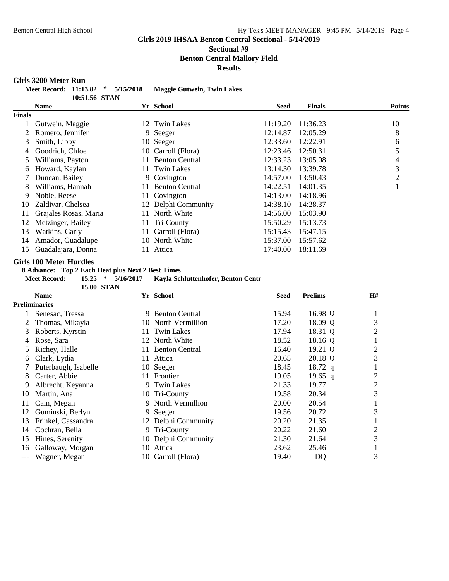#### **Sectional #9 Benton Central Mallory Field**

**Results**

#### **Girls 3200 Meter Run**

| Meet Record: 11:13.82 * 5/15/2018 |               |  | Maggie Gutwein, Twin Lakes |
|-----------------------------------|---------------|--|----------------------------|
|                                   | 10:51.56 STAN |  |                            |

|               | <b>Name</b>           | Yr School                    | <b>Seed</b> | <b>Finals</b> | <b>Points</b> |
|---------------|-----------------------|------------------------------|-------------|---------------|---------------|
| <b>Finals</b> |                       |                              |             |               |               |
|               | Gutwein, Maggie       | 12 Twin Lakes                | 11:19.20    | 11:36.23      | 10            |
|               | Romero, Jennifer      | 9 Seeger                     | 12:14.87    | 12:05.29      | 8             |
| 3             | Smith, Libby          | 10 Seeger                    | 12:33.60    | 12:22.91      | 6             |
| 4             | Goodrich, Chloe       | 10 Carroll (Flora)           | 12:23.46    | 12:50.31      |               |
|               | Williams, Payton      | <b>Benton Central</b><br>11  | 12:33.23    | 13:05.08      | 4             |
| 6             | Howard, Kaylan        | 11 Twin Lakes                | 13:14.30    | 13:39.78      | 3             |
|               | Duncan, Bailey        | 9 Covington                  | 14:57.00    | 13:50.43      | 2             |
| 8             | Williams, Hannah      | <b>Benton Central</b><br>11. | 14:22.51    | 14:01.35      |               |
| 9             | Noble, Reese          | 11 Covington                 | 14:13.00    | 14:18.96      |               |
| 10            | Zaldivar, Chelsea     | 12 Delphi Community          | 14:38.10    | 14:28.37      |               |
| 11            | Grajales Rosas, Maria | North White<br>11            | 14:56.00    | 15:03.90      |               |
| 12            | Metzinger, Bailey     | 11 Tri-County                | 15:50.29    | 15:13.73      |               |
| 13            | Watkins, Carly        | 11 Carroll (Flora)           | 15:15.43    | 15:47.15      |               |
| 14            | Amador, Guadalupe     | 10 North White               | 15:37.00    | 15:57.62      |               |
| 15            | Guadalajara, Donna    | Attica                       | 17:40.00    | 18:11.69      |               |

#### **Girls 100 Meter Hurdles**

**8 Advance: Top 2 Each Heat plus Next 2 Best Times**



|     | Name                 |     | Yr School             | Seed  | <b>Prelims</b> | H#             |
|-----|----------------------|-----|-----------------------|-------|----------------|----------------|
|     | <b>Preliminaries</b> |     |                       |       |                |                |
|     | Senesac, Tressa      | 9   | <b>Benton Central</b> | 15.94 | 16.98 Q        | -1             |
|     | Thomas, Mikayla      |     | 10 North Vermillion   | 17.20 | 18.09 Q        | 3              |
| 3   | Roberts, Kyrstin     | 11  | <b>Twin Lakes</b>     | 17.94 | 18.31 Q        | $\overline{2}$ |
| 4   | Rose, Sara           | 12  | North White           | 18.52 | 18.16 Q        |                |
| 5   | Richey, Halle        | 11  | <b>Benton Central</b> | 16.40 | 19.21 Q        | $\overline{2}$ |
| 6   | Clark, Lydia         | 11  | Attica                | 20.65 | 20.18 Q        | 3              |
|     | Puterbaugh, Isabelle |     | 10 Seeger             | 18.45 | $18.72$ q      |                |
| 8   | Carter, Abbie        |     | 11 Frontier           | 19.05 | 19.65 q        | 2              |
| 9   | Albrecht, Keyanna    |     | 9 Twin Lakes          | 21.33 | 19.77          | $\overline{2}$ |
| 10  | Martin, Ana          |     | 10 Tri-County         | 19.58 | 20.34          | 3              |
| 11  | Cain, Megan          |     | 9 North Vermillion    | 20.00 | 20.54          |                |
| 12  | Guminski, Berlyn     |     | 9 Seeger              | 19.56 | 20.72          | 3              |
| 13  | Frinkel, Cassandra   |     | 12 Delphi Community   | 20.20 | 21.35          |                |
| 14  | Cochran, Bella       |     | 9 Tri-County          | 20.22 | 21.60          | $\overline{2}$ |
| 15  | Hines, Serenity      |     | 10 Delphi Community   | 21.30 | 21.64          | 3              |
| 16  | Galloway, Morgan     | 10- | Attica                | 23.62 | 25.46          |                |
| --- | Wagner, Megan        |     | 10 Carroll (Flora)    | 19.40 | DQ             | 3              |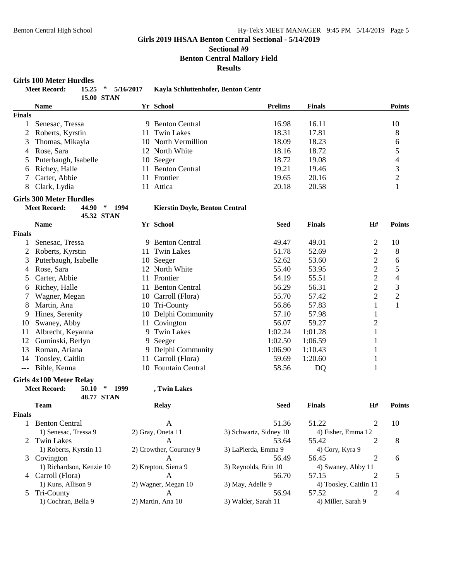#### **Sectional #9 Benton Central Mallory Field Results**

**Girls 100 Meter Hurdles**

|               | 19 TOO MICRET TIME AIR9        |                                      |           |                                       |                        |                |               |                        |                          |
|---------------|--------------------------------|--------------------------------------|-----------|---------------------------------------|------------------------|----------------|---------------|------------------------|--------------------------|
|               | <b>Meet Record:</b>            | $15.25$ *<br><b>15.00 STAN</b>       | 5/16/2017 | Kayla Schluttenhofer, Benton Centr    |                        |                |               |                        |                          |
|               | <b>Name</b>                    |                                      |           | Yr School                             |                        | <b>Prelims</b> | <b>Finals</b> |                        | <b>Points</b>            |
| <b>Finals</b> |                                |                                      |           |                                       |                        |                |               |                        |                          |
| 1             | Senesac, Tressa                |                                      |           | 9 Benton Central                      |                        | 16.98          | 16.11         |                        | 10                       |
| 2             | Roberts, Kyrstin               |                                      | 11        | <b>Twin Lakes</b>                     |                        | 18.31          | 17.81         |                        | 8                        |
| 3             | Thomas, Mikayla                |                                      |           | 10 North Vermillion                   |                        | 18.09          | 18.23         |                        | 6                        |
| 4             | Rose, Sara                     |                                      |           | 12 North White                        |                        | 18.16          | 18.72         |                        | 5                        |
| 5             | Puterbaugh, Isabelle           |                                      |           | 10 Seeger                             |                        | 18.72          | 19.08         |                        | $\overline{\mathcal{L}}$ |
| 6             | Richey, Halle                  |                                      |           | 11 Benton Central                     |                        | 19.21          | 19.46         |                        | 3                        |
| 7             | Carter, Abbie                  |                                      |           | 11 Frontier                           |                        | 19.65          | 20.16         |                        | $\overline{c}$           |
| 8             | Clark, Lydia                   |                                      |           | 11 Attica                             |                        | 20.18          | 20.58         |                        | $\mathbf{1}$             |
|               | <b>Girls 300 Meter Hurdles</b> |                                      |           |                                       |                        |                |               |                        |                          |
|               | <b>Meet Record:</b>            | 44.90<br>$\ast$                      | 1994      | <b>Kierstin Doyle, Benton Central</b> |                        |                |               |                        |                          |
|               | <b>Name</b>                    | 45.32 STAN                           |           | Yr School                             |                        | <b>Seed</b>    | <b>Finals</b> | H#                     | <b>Points</b>            |
| <b>Finals</b> |                                |                                      |           |                                       |                        |                |               |                        |                          |
| 1             | Senesac, Tressa                |                                      |           | 9 Benton Central                      |                        | 49.47          | 49.01         | $\overline{c}$         | 10                       |
| 2             | Roberts, Kyrstin               |                                      | 11        | <b>Twin Lakes</b>                     |                        | 51.78          | 52.69         | $\overline{2}$         | 8                        |
| 3             | Puterbaugh, Isabelle           |                                      |           | 10 Seeger                             |                        | 52.62          | 53.60         | $\overline{2}$         |                          |
|               | Rose, Sara                     |                                      |           | 12 North White                        |                        | 55.40          | 53.95         | $\overline{2}$         | 6<br>5                   |
| 4             |                                |                                      | 11        | Frontier                              |                        | 54.19          | 55.51         | $\overline{2}$         | $\overline{4}$           |
| 5             | Carter, Abbie<br>Richey, Halle |                                      |           | <b>Benton Central</b>                 |                        | 56.29          | 56.31         | $\overline{2}$         | 3                        |
| 6             |                                |                                      | 11        | 10 Carroll (Flora)                    |                        | 55.70          | 57.42         | $\overline{2}$         | $\sqrt{2}$               |
|               | Wagner, Megan                  |                                      |           |                                       |                        | 56.86          |               |                        | $\mathbf{1}$             |
| 8             | Martin, Ana                    |                                      |           | 10 Tri-County                         |                        |                | 57.83         | $\mathbf{1}$           |                          |
| 9             | Hines, Serenity                |                                      |           | 10 Delphi Community                   |                        | 57.10          | 57.98         | $\mathbf{1}$           |                          |
| 10            | Swaney, Abby                   |                                      |           | 11 Covington                          |                        | 56.07          | 59.27         | $\overline{c}$         |                          |
| 11            | Albrecht, Keyanna              |                                      |           | 9 Twin Lakes                          |                        | 1:02.24        | 1:01.28       | $\mathbf{1}$           |                          |
| 12            | Guminski, Berlyn               |                                      |           | 9 Seeger                              |                        | 1:02.50        | 1:06.59       | 1                      |                          |
| 13            | Roman, Ariana                  |                                      |           | 9 Delphi Community                    |                        | 1:06.90        | 1:10.43       | 1                      |                          |
| 14            | Toosley, Caitlin               |                                      |           | 11 Carroll (Flora)                    |                        | 59.69          | 1:20.60       | $\mathbf{1}$           |                          |
| $---$         | Bible, Kenna                   |                                      |           | 10 Fountain Central                   |                        | 58.56          | DQ            | $\mathbf{1}$           |                          |
|               | <b>Girls 4x100 Meter Relay</b> |                                      |           |                                       |                        |                |               |                        |                          |
|               | <b>Meet Record:</b>            | $\ast$<br>50.10<br><b>48.77 STAN</b> | 1999      | , Twin Lakes                          |                        |                |               |                        |                          |
|               | <b>Team</b>                    |                                      |           | <b>Relay</b>                          |                        | <b>Seed</b>    | <b>Finals</b> | H#                     | <b>Points</b>            |
| <b>Finals</b> |                                |                                      |           |                                       |                        |                |               |                        |                          |
| $\mathbf{1}$  | <b>Benton Central</b>          |                                      |           | A                                     |                        | 51.36          | 51.22         | 2                      | 10                       |
|               | 1) Senesac, Tressa 9           |                                      |           | 2) Gray, Oneta 11                     | 3) Schwartz, Sidney 10 |                |               | 4) Fisher, Emma 12     |                          |
| 2             | <b>Twin Lakes</b>              |                                      |           | $\mathbf{A}$                          |                        | 53.64          | 55.42         | 2                      | 8                        |
|               | 1) Roberts, Kyrstin 11         |                                      |           | 2) Crowther, Courtney 9               | 3) LaPierda, Emma 9    |                |               | 4) Cory, Kyra 9        |                          |
| 3             | Covington                      |                                      |           | A                                     |                        | 56.49          | 56.45         | 2                      | 6                        |
|               | 1) Richardson, Kenzie 10       |                                      |           | 2) Krepton, Sierra 9                  | 3) Reynolds, Erin 10   |                |               | 4) Swaney, Abby 11     |                          |
|               | 4 Carroll (Flora)              |                                      |           | A                                     |                        | 56.70          | 57.15         | 2                      | 5                        |
|               | 1) Kuns, Allison 9             |                                      |           | 2) Wagner, Megan 10                   | 3) May, Adelle 9       |                |               | 4) Toosley, Caitlin 11 |                          |
| $\mathcal{L}$ | Tri-County                     |                                      |           | A                                     |                        | 56.94          | 57.52         | 2                      | 4                        |
|               | 1) Cochran, Bella 9            |                                      |           | 2) Martin, Ana 10                     | 3) Walder, Sarah 11    |                |               | 4) Miller, Sarah 9     |                          |
|               |                                |                                      |           |                                       |                        |                |               |                        |                          |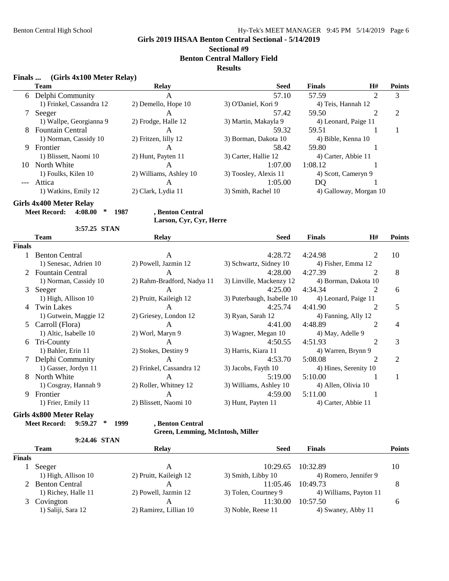## **Sectional #9**

**Benton Central Mallory Field**

#### **Results**

#### **Finals ... (Girls 4x100 Meter Relay)**

|    | Team                     | <b>Relay</b>                                | <b>Seed</b>           | <b>Finals</b>       | H#                     | <b>Points</b> |  |
|----|--------------------------|---------------------------------------------|-----------------------|---------------------|------------------------|---------------|--|
|    | 6 Delphi Community       | А                                           | 57.10                 | 57.59               |                        | 3             |  |
|    | 1) Frinkel, Cassandra 12 | 2) Demello, Hope 10                         | 3) O'Daniel, Kori 9   | 4) Teis, Hannah 12  |                        |               |  |
|    | Seeger                   | A                                           | 57.42                 | 59.50               |                        | 2             |  |
|    | 1) Wallpe, Georgianna 9  | 2) Frodge, Halle 12<br>3) Martin, Makayla 9 |                       |                     | 4) Leonard, Paige 11   |               |  |
|    | 8 Fountain Central       | A                                           | 59.32                 | 59.51               |                        |               |  |
|    | 1) Norman, Cassidy 10    | 2) Fritzen, lilly 12                        | 3) Borman, Dakota 10  | 4) Bible, Kenna 10  |                        |               |  |
| 9  | Frontier                 | А                                           | 58.42                 | 59.80               |                        |               |  |
|    | 1) Blissett, Naomi 10    | 2) Hunt, Payten 11                          | 3) Carter, Hallie 12  | 4) Carter, Abbie 11 |                        |               |  |
| 10 | North White              | A                                           | 1:07.00               | 1:08.12             |                        |               |  |
|    | 1) Foulks, Kilen 10      | 2) Williams, Ashley 10                      | 3) Toosley, Alexis 11 | 4) Scott, Cameryn 9 |                        |               |  |
|    | Attica                   | А                                           | 1:05.00               | DO                  |                        |               |  |
|    | 1) Watkins, Emily 12     | 2) Clark, Lydia 11                          | 3) Smith, Rachel 10   |                     | 4) Galloway, Morgan 10 |               |  |
|    |                          |                                             |                       |                     |                        |               |  |

**Girls 4x400 Meter Relay**

**Meet Record: 4:08.00 \* 1987 , Benton Central**

#### **Larson, Cyr, Cyr, Herre**

|        | 3:57.25 STAN            |                            |                            |                     |                       |               |
|--------|-------------------------|----------------------------|----------------------------|---------------------|-----------------------|---------------|
|        | <b>Team</b>             | <b>Relay</b>               | <b>Seed</b>                | <b>Finals</b>       | H#                    | <b>Points</b> |
| Finals |                         |                            |                            |                     |                       |               |
|        | <b>Benton Central</b>   | A                          | 4:28.72                    | 4:24.98             | 2                     | 10            |
|        | 1) Senesac, Adrien 10   | 2) Powell, Jazmin 12       | 3) Schwartz, Sidney 10     | 4) Fisher, Emma 12  |                       |               |
|        | <b>Fountain Central</b> | A                          | 4:28.00                    | 4:27.39             |                       | 8             |
|        | 1) Norman, Cassidy 10   | 2) Rahm-Bradford, Nadya 11 | 3) Linville, Mackenzy 12   |                     | 4) Borman, Dakota 10  |               |
| 3      | Seeger                  | $\mathsf{A}$               | 4:25.00                    | 4:34.34             |                       | 6             |
|        | 1) High, Allison 10     | 2) Pruitt, Kaileigh 12     | 3) Puterbaugh, Isabelle 10 |                     | 4) Leonard, Paige 11  |               |
| 4      | <b>Twin Lakes</b>       | A                          | 4:25.74                    | 4:41.90             |                       | 5             |
|        | 1) Gutwein, Maggie 12   | 2) Griesey, London 12      | 3) Ryan, Sarah 12          | 4) Fanning, Ally 12 |                       |               |
| 5      | Carroll (Flora)         | A                          | 4:41.00                    | 4:48.89             | 2                     | 4             |
|        | 1) Altic, Isabelle 10   | 2) Worl, Maryn 9           | 3) Wagner, Megan 10        | 4) May, Adelle 9    |                       |               |
| 6      | Tri-County              | $\mathsf{A}$               | 4:50.55                    | 4:51.93             | 2                     | 3             |
|        | 1) Bahler, Erin 11      | 2) Stokes, Destiny 9       | 3) Harris, Kiara 11        | 4) Warren, Brynn 9  |                       |               |
|        | Delphi Community        | A                          | 4:53.70                    | 5:08.08             |                       | 2             |
|        | 1) Gasser, Jordyn 11    | 2) Frinkel, Cassandra 12   | 3) Jacobs, Fayth 10        |                     | 4) Hines, Serenity 10 |               |
| 8      | North White             | A                          | 5:19.00                    | 5:10.00             |                       |               |
|        | 1) Cosgray, Hannah 9    | 2) Roller, Whitney 12      | 3) Williams, Ashley 10     | 4) Allen, Olivia 10 |                       |               |
| 9      | Frontier                | A                          | 4:59.00                    | 5:11.00             |                       |               |
|        | 1) Frier, Emily 11      | 2) Blissett, Naomi 10      | 3) Hunt, Payten 11         | 4) Carter, Abbie 11 |                       |               |

## **Girls 4x800 Meter Relay**

**Meet Record: 9:59.27 \* 1999 , Benton Central**

**Green, Lemming, McIntosh, Miller**

#### **9:24.46 STAN**

|               | <b>Team</b>         | Relay                  | <b>Seed</b>          | <b>Finals</b>          | Points |
|---------------|---------------------|------------------------|----------------------|------------------------|--------|
| <b>Finals</b> |                     |                        |                      |                        |        |
|               | Seeger              | A                      | 10:29.65             | 10:32.89               | 10     |
|               | 1) High, Allison 10 | 2) Pruitt, Kaileigh 12 | 3) Smith, Libby 10   | 4) Romero, Jennifer 9  |        |
|               | 2 Benton Central    |                        | 11:05.46             | 10:49.73               |        |
|               | 1) Richey, Halle 11 | 2) Powell, Jazmin 12   | 3) Tolen, Courtney 9 | 4) Williams, Payton 11 |        |
|               | 3 Covington         | A                      | 11:30.00             | 10:57.50               |        |
|               | 1) Saliji, Sara 12  | 2) Ramirez, Lillian 10 | 3) Noble, Reese 11   | 4) Swaney, Abby 11     |        |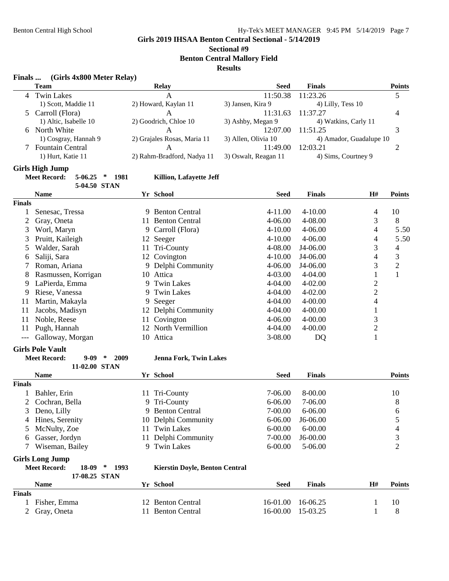## **Sectional #9**

**Benton Central Mallory Field**

#### **Results**

| (Girls 4x800 Meter Relay) | Finals |  |  |  |  |  |
|---------------------------|--------|--|--|--|--|--|
|---------------------------|--------|--|--|--|--|--|

| <b>FINAIS</b> | (GIFIS 4X800 Meter Relay)                          |                             |                      |                         |                |                |
|---------------|----------------------------------------------------|-----------------------------|----------------------|-------------------------|----------------|----------------|
|               | <b>Team</b>                                        | <b>Relay</b>                | <b>Seed</b>          | <b>Finals</b>           |                | <b>Points</b>  |
| 4             | <b>Twin Lakes</b>                                  | $\mathbf{A}$                | 11:50.38             | 11:23.26                |                | 5              |
|               | 1) Scott, Maddie 11                                | 2) Howard, Kaylan 11        | 3) Jansen, Kira 9    | 4) Lilly, Tess 10       |                |                |
| 5             | Carroll (Flora)                                    | $\mathsf{A}$                | 11:31.63             | 11:37.27                |                | 4              |
|               | 1) Altic, Isabelle 10                              | 2) Goodrich, Chloe 10       | 3) Ashby, Megan 9    | 4) Watkins, Carly 11    |                |                |
| 6             | North White                                        | A                           | 12:07.00             | 11:51.25                |                | 3              |
|               | 1) Cosgray, Hannah 9                               | 2) Grajales Rosas, Maria 11 | 3) Allen, Olivia 10  | 4) Amador, Guadalupe 10 |                |                |
|               | Fountain Central                                   | A                           | 11:49.00             | 12:03.21                |                | 2              |
|               | 1) Hurt, Katie 11                                  | 2) Rahm-Bradford, Nadya 11  | 3) Oswalt, Reagan 11 | 4) Sims, Courtney 9     |                |                |
|               | <b>Girls High Jump</b>                             |                             |                      |                         |                |                |
|               | <b>Meet Record:</b><br>$5-06.25$<br>$\ast$<br>1981 | Killion, Lafayette Jeff     |                      |                         |                |                |
|               | 5-04.50 STAN                                       |                             |                      |                         |                |                |
|               | <b>Name</b>                                        | Yr School                   | <b>Seed</b>          | <b>Finals</b>           | H#             | <b>Points</b>  |
| <b>Finals</b> |                                                    |                             |                      |                         |                |                |
| 1             | Senesac, Tressa                                    | 9 Benton Central            | 4-11.00              | 4-10.00                 | 4              | 10             |
|               | Gray, Oneta                                        | 11 Benton Central           | 4-06.00              | 4-08.00                 | 3              | 8              |
| 3             | Worl, Maryn                                        | Carroll (Flora)<br>9.       | 4-10.00              | $4 - 06.00$             | 4              | 5.50           |
| 3             | Pruitt, Kaileigh                                   | 12 Seeger                   | $4 - 10.00$          | 4-06.00                 | 4              | 5.50           |
| 5             | Walder, Sarah                                      | Tri-County<br>11            | 4-08.00              | J4-06.00                | 3              | 4              |
| 6             | Saliji, Sara                                       | Covington<br>12             | $4 - 10.00$          | J4-06.00                | 4              | 3              |
|               | Roman, Ariana                                      | 9 Delphi Community          | 4-06.00              | J4-06.00                | 3              | $\overline{2}$ |
| 8             | Rasmussen, Korrigan                                | 10 Attica                   | 4-03.00              | 4-04.00                 | $\mathbf{1}$   | $\mathbf{1}$   |
| 9             | LaPierda, Emma                                     | <b>Twin Lakes</b>           | 4-04.00              | 4-02.00                 | $\sqrt{2}$     |                |
| 9             | Riese, Vanessa                                     | <b>Twin Lakes</b><br>9      | 4-04.00              | 4-02.00                 | $\overline{2}$ |                |
| 11            | Martin, Makayla                                    | Seeger<br>9.                | 4-04.00              | 4-00.00                 | $\overline{4}$ |                |
| 11            | Jacobs, Madisyn                                    | 12 Delphi Community         | 4-04.00              | 4-00.00                 | $\mathbf{1}$   |                |
| 11            | Noble, Reese                                       | 11 Covington                | 4-06.00              | 4-00.00                 | $\mathfrak{Z}$ |                |
| 11            | Pugh, Hannah                                       | 12 North Vermillion         | 4-04.00              | 4-00.00                 | $\overline{c}$ |                |
| $---$         | Galloway, Morgan                                   | 10 Attica                   | 3-08.00              | DQ                      | $\mathbf 1$    |                |
|               | <b>Girls Pole Vault</b>                            |                             |                      |                         |                |                |

- **Meet Record: 9-09 \* 2009 Jenna Fork, Twin Lakes**
- **11-02.00 STAN Name Yr School Seed Finals Points Finals** 1 Bahler, Erin 11 Tri-County 7-06.00 8-00.00 10 2 Cochran, Bella 9 Tri-County 6-06.00 7-06.00 8 3 Deno, Lilly 9 Benton Central 7-00.00 6-06.00 6<br>4 Hines, Serenity 10 Delphi Community 6-06.00 16-06.00 5 10 Delphi Community 6-06.00 J6-06.00 5 5 McNulty, Zoe 11 Twin Lakes 6-00.00 6-00.00 4 6 Gasser, Jordyn 11 Delphi Community 7-00.00 J6-00.00 3 7 Wiseman, Bailey 9 Twin Lakes 6-00.00 5-06.00 2
- **Girls Long Jump**

**Meet Record: 18-09 \* 1993 Kierstin Doyle, Benton Central**

**17-08.25 STAN Name Yr School Seed Finals H# Points Finals** 1 Fisher, Emma 12 Benton Central 16-01.00 16-06.25 1 10 2 Gray, Oneta 11 Benton Central 16-00.00 15-03.25 1 8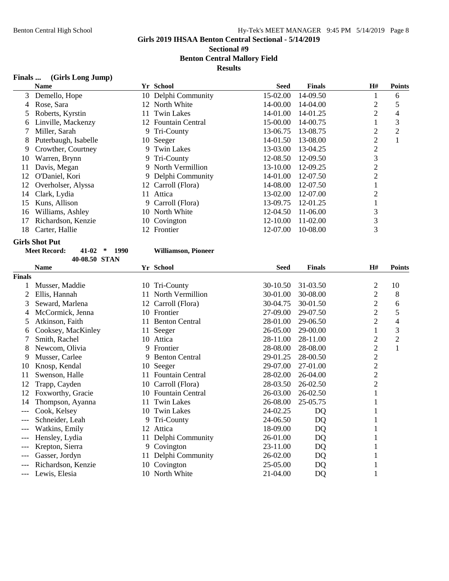**Sectional #9 Benton Central Mallory Field**

**Results**

#### **Finals ... (Girls Long Jump)**

|    | <b>Name</b>          |     | Yr School           | <b>Seed</b> | <b>Finals</b> | H#             | <b>Points</b> |
|----|----------------------|-----|---------------------|-------------|---------------|----------------|---------------|
| 3  | Demello, Hope        |     | 10 Delphi Community | 15-02.00    | 14-09.50      |                | 6             |
| 4  | Rose, Sara           |     | 12 North White      | 14-00.00    | 14-04.00      | $\overline{c}$ | 5             |
|    | Roberts, Kyrstin     |     | 11 Twin Lakes       | 14-01.00    | 14-01.25      | $\overline{2}$ | 4             |
| 6  | Linville, Mackenzy   |     | 12 Fountain Central | 15-00.00    | 14-00.75      |                | 3             |
|    | Miller, Sarah        |     | 9 Tri-County        | 13-06.75    | 13-08.75      | $\overline{c}$ | 2             |
| 8  | Puterbaugh, Isabelle |     | 10 Seeger           | 14-01.50    | 13-08.00      | 2              |               |
| 9  | Crowther, Courtney   |     | 9 Twin Lakes        | 13-03.00    | 13-04.25      | 2              |               |
| 10 | Warren, Brynn        |     | 9 Tri-County        | 12-08.50    | 12-09.50      | 3              |               |
| 11 | Davis, Megan         |     | 9 North Vermillion  | 13-10.00    | 12-09.25      | 2              |               |
| 12 | O'Daniel, Kori       |     | 9 Delphi Community  | 14-01.00    | 12-07.50      | $\overline{2}$ |               |
| 12 | Overholser, Alyssa   |     | 12 Carroll (Flora)  | 14-08.00    | 12-07.50      |                |               |
| 14 | Clark, Lydia         | 11- | Attica              | 13-02.00    | 12-07.00      | ာ              |               |
| 15 | Kuns, Allison        |     | 9 Carroll (Flora)   | 13-09.75    | 12-01.25      |                |               |
| 16 | Williams, Ashley     | 10. | North White         | 12-04.50    | 11-06.00      | 3              |               |
| 17 | Richardson, Kenzie   |     | 10 Covington        | 12-10.00    | 11-02.00      | 3              |               |
| 18 | Carter, Hallie       |     | 12 Frontier         | 12-07.00    | 10-08.00      | 3              |               |

# **Girls Shot Put**

| Record: | 41-02         | 1990 |
|---------|---------------|------|
|         | 40-08.50 STAN |      |

#### $W$ illiamson, Pioneer

| .                  |                                                               |                         |                                                                                                                                                                   |               |                            |                |
|--------------------|---------------------------------------------------------------|-------------------------|-------------------------------------------------------------------------------------------------------------------------------------------------------------------|---------------|----------------------------|----------------|
| <b>Name</b>        |                                                               |                         | <b>Seed</b>                                                                                                                                                       | <b>Finals</b> | H#                         | <b>Points</b>  |
|                    |                                                               |                         |                                                                                                                                                                   |               |                            |                |
| Musser, Maddie     |                                                               | Tri-County              | 30-10.50                                                                                                                                                          | 31-03.50      | 2                          | 10             |
| Ellis, Hannah      | 11.                                                           | North Vermillion        | 30-01.00                                                                                                                                                          | 30-08.00      | $\overline{c}$             | 8              |
| Seward, Marlena    |                                                               | Carroll (Flora)         | 30-04.75                                                                                                                                                          | 30-01.50      | $\overline{c}$             | 6              |
| McCormick, Jenna   |                                                               |                         | 27-09.00                                                                                                                                                          | 29-07.50      | $\overline{c}$             | 5              |
| Atkinson, Faith    | 11                                                            | <b>Benton Central</b>   | 28-01.00                                                                                                                                                          | 29-06.50      | $\overline{c}$             | 4              |
| Cooksey, MacKinley |                                                               | Seeger                  | 26-05.00                                                                                                                                                          | 29-00.00      |                            | 3              |
| Smith, Rachel      |                                                               |                         | 28-11.00                                                                                                                                                          | 28-11.00      | $\overline{c}$             | $\mathfrak{2}$ |
| Newcom, Olivia     | 9                                                             | Frontier                | 28-08.00                                                                                                                                                          | 28-08.00      | 2                          | $\mathbf{1}$   |
| Musser, Carlee     | 9                                                             | <b>Benton Central</b>   | 29-01.25                                                                                                                                                          | 28-00.50      | $\overline{c}$             |                |
| Knosp, Kendal      |                                                               | Seeger                  | 29-07.00                                                                                                                                                          | 27-01.00      | $\overline{2}$             |                |
| Swenson, Halle     | 11.                                                           | <b>Fountain Central</b> | 28-02.00                                                                                                                                                          | 26-04.00      | $\overline{2}$             |                |
| Trapp, Cayden      |                                                               | Carroll (Flora)         | 28-03.50                                                                                                                                                          | 26-02.50      | 2                          |                |
| Foxworthy, Gracie  |                                                               | Fountain Central        | 26-03.00                                                                                                                                                          | 26-02.50      |                            |                |
| Thompson, Ayanna   | 11                                                            | <b>Twin Lakes</b>       | 26-08.00                                                                                                                                                          | 25-05.75      |                            |                |
| Cook, Kelsey       |                                                               | <b>Twin Lakes</b>       | 24-02.25                                                                                                                                                          | DQ            |                            |                |
| Schneider, Leah    | 9                                                             | Tri-County              | 24-06.50                                                                                                                                                          | DQ            |                            |                |
| Watkins, Emily     |                                                               | Attica                  | 18-09.00                                                                                                                                                          |               |                            |                |
|                    |                                                               | Delphi Community        | 26-01.00                                                                                                                                                          |               |                            |                |
|                    | 9.                                                            |                         | 23-11.00                                                                                                                                                          |               |                            |                |
|                    |                                                               |                         | 26-02.00                                                                                                                                                          |               |                            |                |
| Richardson, Kenzie | 10                                                            |                         | 25-05.00                                                                                                                                                          |               |                            |                |
| Lewis, Elesia      |                                                               |                         | 21-04.00                                                                                                                                                          | DQ            |                            |                |
|                    | Finals<br>Hensley, Lydia<br>Krepton, Sierra<br>Gasser, Jordyn |                         | Yr School<br>10<br>12<br>10 Frontier<br>11<br>10 Attica<br>10<br>10<br>10<br>10<br>12<br>11<br>Covington<br>Delphi Community<br>11<br>Covington<br>10 North White |               | DQ<br>DQ<br>DQ<br>DQ<br>DQ |                |